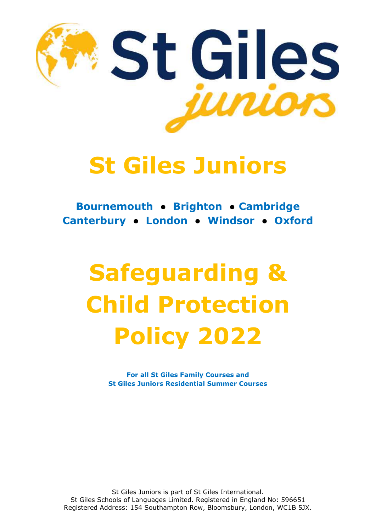

Bournemouth ● Brighton ● Cambridge Canterbury ● London ● Windsor ● Oxford

# Safeguarding & Child Protection Policy 2022

For all St Giles Family Courses and St Giles Juniors Residential Summer Courses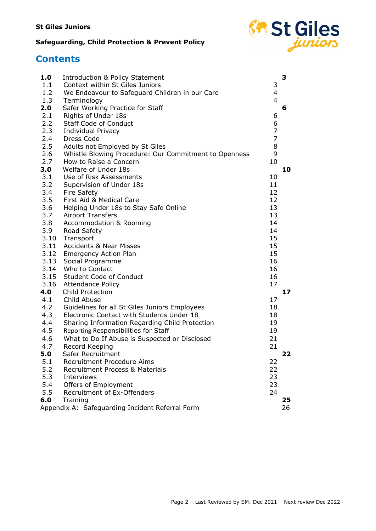

# **Contents**

| 1.0        | <b>Introduction &amp; Policy Statement</b>            |                | 3  |
|------------|-------------------------------------------------------|----------------|----|
| 1.1        | Context within St Giles Juniors                       | 3              |    |
| 1.2        | We Endeavour to Safeguard Children in our Care        | 4              |    |
| 1.3        | Terminology                                           | 4              |    |
| 2.0        | Safer Working Practice for Staff                      |                | 6  |
| 2.1        | Rights of Under 18s                                   | 6              |    |
| 2.2        | Staff Code of Conduct                                 | 6              |    |
| 2.3        | Individual Privacy                                    | 7              |    |
| 2.4        | Dress Code                                            | $\overline{7}$ |    |
| 2.5        | Adults not Employed by St Giles                       | 8              |    |
| 2.6        | Whistle Blowing Procedure: Our Commitment to Openness | 9              |    |
| 2.7        | How to Raise a Concern                                | 10             |    |
| 3.0        | Welfare of Under 18s                                  |                | 10 |
| 3.1        | Use of Risk Assessments                               | 10             |    |
| 3.2        | Supervision of Under 18s                              | 11             |    |
| 3.4        | <b>Fire Safety</b>                                    | 12             |    |
| 3.5        | First Aid & Medical Care                              | 12             |    |
| 3.6        | Helping Under 18s to Stay Safe Online                 | 13             |    |
| 3.7<br>3.8 | <b>Airport Transfers</b>                              | 13<br>14       |    |
| 3.9        | Accommodation & Rooming                               | 14             |    |
| 3.10       | Road Safety<br>Transport                              | 15             |    |
| 3.11       | <b>Accidents &amp; Near Misses</b>                    | 15             |    |
|            | 3.12 Emergency Action Plan                            | 15             |    |
| 3.13       | Social Programme                                      | 16             |    |
|            | 3.14 Who to Contact                                   | 16             |    |
|            | 3.15 Student Code of Conduct                          | 16             |    |
| 3.16       | <b>Attendance Policy</b>                              | 17             |    |
| 4.0        | <b>Child Protection</b>                               |                | 17 |
| 4.1        | Child Abuse                                           | 17             |    |
| 4.2        | Guidelines for all St Giles Juniors Employees         | 18             |    |
| 4.3        | Electronic Contact with Students Under 18             | 18             |    |
| 4.4        | Sharing Information Regarding Child Protection        | 19             |    |
| 4.5        | Reporting Responsibilities for Staff                  | 19             |    |
| 4.6        | What to Do If Abuse is Suspected or Disclosed         | 21             |    |
| 4.7        | Record Keeping                                        | 21             |    |
| 5.0        | Safer Recruitment                                     |                | フフ |
| 5.1        | Recruitment Procedure Aims                            | 22             |    |
| 5.2        | Recruitment Process & Materials                       | 22             |    |
| 5.3        | <b>Interviews</b>                                     | 23             |    |
| 5.4        | Offers of Employment                                  | 23             |    |
| 5.5        | Recruitment of Ex-Offenders                           | 24             |    |
| 6.0        | Training                                              |                | 25 |
|            | Appendix A: Safeguarding Incident Referral Form       |                | 26 |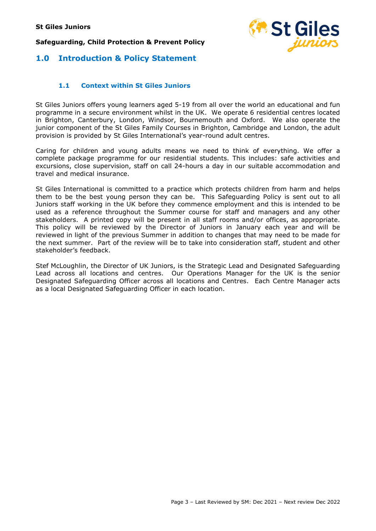

# 1.0 Introduction & Policy Statement

#### 1.1 Context within St Giles Juniors

St Giles Juniors offers young learners aged 5-19 from all over the world an educational and fun programme in a secure environment whilst in the UK. We operate 6 residential centres located in Brighton, Canterbury, London, Windsor, Bournemouth and Oxford. We also operate the junior component of the St Giles Family Courses in Brighton, Cambridge and London, the adult provision is provided by St Giles International's year-round adult centres.

Caring for children and young adults means we need to think of everything. We offer a complete package programme for our residential students. This includes: safe activities and excursions, close supervision, staff on call 24-hours a day in our suitable accommodation and travel and medical insurance.

St Giles International is committed to a practice which protects children from harm and helps them to be the best young person they can be. This Safeguarding Policy is sent out to all Juniors staff working in the UK before they commence employment and this is intended to be used as a reference throughout the Summer course for staff and managers and any other stakeholders. A printed copy will be present in all staff rooms and/or offices, as appropriate. This policy will be reviewed by the Director of Juniors in January each year and will be reviewed in light of the previous Summer in addition to changes that may need to be made for the next summer. Part of the review will be to take into consideration staff, student and other stakeholder's feedback.

Stef McLoughlin, the Director of UK Juniors, is the Strategic Lead and Designated Safeguarding Lead across all locations and centres. Our Operations Manager for the UK is the senior Designated Safeguarding Officer across all locations and Centres. Each Centre Manager acts as a local Designated Safeguarding Officer in each location.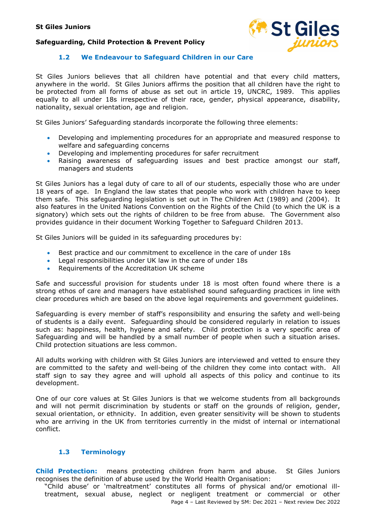

#### 1.2 We Endeavour to Safeguard Children in our Care

St Giles Juniors believes that all children have potential and that every child matters, anywhere in the world. St Giles Juniors affirms the position that all children have the right to be protected from all forms of abuse as set out in article 19, UNCRC, 1989. This applies equally to all under 18s irrespective of their race, gender, physical appearance, disability, nationality, sexual orientation, age and religion.

St Giles Juniors' Safeguarding standards incorporate the following three elements:

- Developing and implementing procedures for an appropriate and measured response to welfare and safeguarding concerns
- Developing and implementing procedures for safer recruitment
- Raising awareness of safeguarding issues and best practice amongst our staff, managers and students

St Giles Juniors has a legal duty of care to all of our students, especially those who are under 18 years of age. In England the law states that people who work with children have to keep them safe. This safeguarding legislation is set out in The Children Act (1989) and (2004). It also features in the United Nations Convention on the Rights of the Child (to which the UK is a signatory) which sets out the rights of children to be free from abuse. The Government also provides guidance in their document Working Together to Safeguard Children 2013.

St Giles Juniors will be guided in its safeguarding procedures by:

- Best practice and our commitment to excellence in the care of under 18s
- Legal responsibilities under UK law in the care of under 18s
- Requirements of the Accreditation UK scheme

Safe and successful provision for students under 18 is most often found where there is a strong ethos of care and managers have established sound safeguarding practices in line with clear procedures which are based on the above legal requirements and government guidelines.

Safeguarding is every member of staff's responsibility and ensuring the safety and well-being of students is a daily event. Safeguarding should be considered regularly in relation to issues such as: happiness, health, hygiene and safety. Child protection is a very specific area of Safeguarding and will be handled by a small number of people when such a situation arises. Child protection situations are less common.

All adults working with children with St Giles Juniors are interviewed and vetted to ensure they are committed to the safety and well-being of the children they come into contact with. All staff sign to say they agree and will uphold all aspects of this policy and continue to its development.

One of our core values at St Giles Juniors is that we welcome students from all backgrounds and will not permit discrimination by students or staff on the grounds of religion, gender, sexual orientation, or ethnicity. In addition, even greater sensitivity will be shown to students who are arriving in the UK from territories currently in the midst of internal or international conflict.

#### 1.3 Terminology

Child Protection: means protecting children from harm and abuse. St Giles Juniors recognises the definition of abuse used by the World Health Organisation:

Page 4 – Last Reviewed by SM: Dec 2021 – Next review Dec 2022 "Child abuse' or 'maltreatment' constitutes all forms of physical and/or emotional illtreatment, sexual abuse, neglect or negligent treatment or commercial or other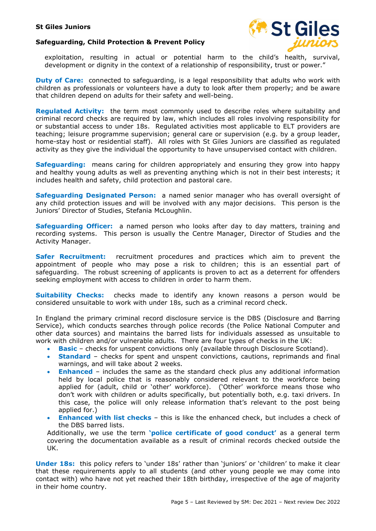



exploitation, resulting in actual or potential harm to the child's health, survival, development or dignity in the context of a relationship of responsibility, trust or power."

**Duty of Care:** connected to safeguarding, is a legal responsibility that adults who work with children as professionals or volunteers have a duty to look after them properly; and be aware that children depend on adults for their safety and well-being.

**Regulated Activity:** the term most commonly used to describe roles where suitability and criminal record checks are required by law, which includes all roles involving responsibility for or substantial access to under 18s. Regulated activities most applicable to ELT providers are teaching; leisure programme supervision; general care or supervision (e.g. by a group leader, home-stay host or residential staff). All roles with St Giles Juniors are classified as regulated activity as they give the individual the opportunity to have unsupervised contact with children.

**Safeguarding:** means caring for children appropriately and ensuring they grow into happy and healthy young adults as well as preventing anything which is not in their best interests; it includes health and safety, child protection and pastoral care.

Safeguarding Designated Person: a named senior manager who has overall oversight of any child protection issues and will be involved with any major decisions. This person is the Juniors' Director of Studies, Stefania McLoughlin.

Safequarding Officer: a named person who looks after day to day matters, training and recording systems. This person is usually the Centre Manager, Director of Studies and the Activity Manager.

**Safer Recruitment:** recruitment procedures and practices which aim to prevent the appointment of people who may pose a risk to children; this is an essential part of safeguarding. The robust screening of applicants is proven to act as a deterrent for offenders seeking employment with access to children in order to harm them.

**Suitability Checks:** checks made to identify any known reasons a person would be considered unsuitable to work with under 18s, such as a criminal record check.

In England the primary criminal record disclosure service is the DBS (Disclosure and Barring Service), which conducts searches through police records (the Police National Computer and other data sources) and maintains the barred lists for individuals assessed as unsuitable to work with children and/or vulnerable adults. There are four types of checks in the UK:

- Basic checks for unspent convictions only (available through Disclosure Scotland).
- Standard checks for spent and unspent convictions, cautions, reprimands and final warnings, and will take about 2 weeks.
- Enhanced includes the same as the standard check plus any additional information held by local police that is reasonably considered relevant to the workforce being applied for (adult, child or 'other' workforce). ('Other' workforce means those who don't work with children or adults specifically, but potentially both, e.g. taxi drivers. In this case, the police will only release information that's relevant to the post being applied for.)
- Enhanced with list checks this is like the enhanced check, but includes a check of the DBS barred lists.

Additionally, we use the term 'police certificate of good conduct' as a general term covering the documentation available as a result of criminal records checked outside the UK.

Under 18s: this policy refers to 'under 18s' rather than 'juniors' or 'children' to make it clear that these requirements apply to all students (and other young people we may come into contact with) who have not yet reached their 18th birthday, irrespective of the age of majority in their home country.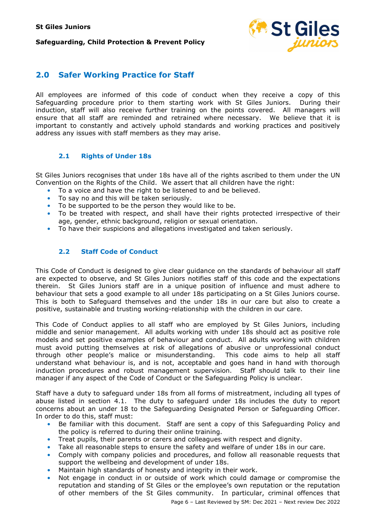

# 2.0 Safer Working Practice for Staff

All employees are informed of this code of conduct when they receive a copy of this Safeguarding procedure prior to them starting work with St Giles Juniors. During their induction, staff will also receive further training on the points covered. All managers will ensure that all staff are reminded and retrained where necessary. We believe that it is important to constantly and actively uphold standards and working practices and positively address any issues with staff members as they may arise.

#### 2.1 Rights of Under 18s

St Giles Juniors recognises that under 18s have all of the rights ascribed to them under the UN Convention on the Rights of the Child. We assert that all children have the right:

- To a voice and have the right to be listened to and be believed.
- To say no and this will be taken seriously.
- To be supported to be the person they would like to be.
- To be treated with respect, and shall have their rights protected irrespective of their age, gender, ethnic background, religion or sexual orientation.
- To have their suspicions and allegations investigated and taken seriously.

#### 2.2 Staff Code of Conduct

This Code of Conduct is designed to give clear guidance on the standards of behaviour all staff are expected to observe, and St Giles Juniors notifies staff of this code and the expectations therein. St Giles Juniors staff are in a unique position of influence and must adhere to behaviour that sets a good example to all under 18s participating on a St Giles Juniors course. This is both to Safeguard themselves and the under 18s in our care but also to create a positive, sustainable and trusting working-relationship with the children in our care.

This Code of Conduct applies to all staff who are employed by St Giles Juniors, including middle and senior management. All adults working with under 18s should act as positive role models and set positive examples of behaviour and conduct. All adults working with children must avoid putting themselves at risk of allegations of abusive or unprofessional conduct through other people's malice or misunderstanding. This code aims to help all staff through other people's malice or misunderstanding. understand what behaviour is, and is not, acceptable and goes hand in hand with thorough induction procedures and robust management supervision. Staff should talk to their line manager if any aspect of the Code of Conduct or the Safeguarding Policy is unclear.

Staff have a duty to safeguard under 18s from all forms of mistreatment, including all types of abuse listed in section 4.1. The duty to safeguard under 18s includes the duty to report concerns about an under 18 to the Safeguarding Designated Person or Safeguarding Officer. In order to do this, staff must:

- Be familiar with this document. Staff are sent a copy of this Safeguarding Policy and the policy is referred to during their online training.
- Treat pupils, their parents or carers and colleagues with respect and dignity.
- Take all reasonable steps to ensure the safety and welfare of under 18s in our care.
- Comply with company policies and procedures, and follow all reasonable requests that support the wellbeing and development of under 18s.
- Maintain high standards of honesty and integrity in their work.
- Not engage in conduct in or outside of work which could damage or compromise the reputation and standing of St Giles or the employee's own reputation or the reputation of other members of the St Giles community. In particular, criminal offences that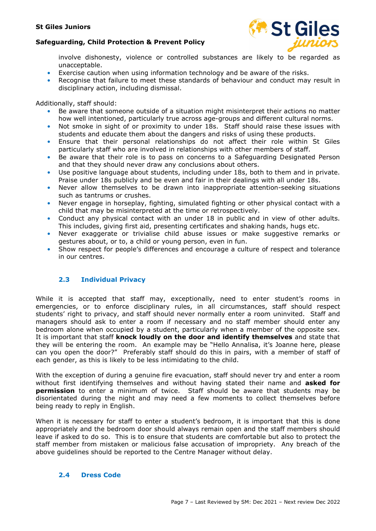

involve dishonesty, violence or controlled substances are likely to be regarded as unacceptable.

- Exercise caution when using information technology and be aware of the risks.
- Recognise that failure to meet these standards of behaviour and conduct may result in disciplinary action, including dismissal.

Additionally, staff should:

- Be aware that someone outside of a situation might misinterpret their actions no matter how well intentioned, particularly true across age-groups and different cultural norms.
- Not smoke in sight of or proximity to under 18s. Staff should raise these issues with students and educate them about the dangers and risks of using these products.
- Ensure that their personal relationships do not affect their role within St Giles particularly staff who are involved in relationships with other members of staff.
- Be aware that their role is to pass on concerns to a Safeguarding Designated Person and that they should never draw any conclusions about others.
- Use positive language about students, including under 18s, both to them and in private. Praise under 18s publicly and be even and fair in their dealings with all under 18s.
- Never allow themselves to be drawn into inappropriate attention-seeking situations such as tantrums or crushes.
- Never engage in horseplay, fighting, simulated fighting or other physical contact with a child that may be misinterpreted at the time or retrospectively.
- Conduct any physical contact with an under 18 in public and in view of other adults. This includes, giving first aid, presenting certificates and shaking hands, hugs etc.
- Never exaggerate or trivialise child abuse issues or make suggestive remarks or gestures about, or to, a child or young person, even in fun.
- Show respect for people's differences and encourage a culture of respect and tolerance in our centres.

# 2.3 Individual Privacy

While it is accepted that staff may, exceptionally, need to enter student's rooms in emergencies, or to enforce disciplinary rules, in all circumstances, staff should respect students' right to privacy, and staff should never normally enter a room uninvited. Staff and managers should ask to enter a room if necessary and no staff member should enter any bedroom alone when occupied by a student, particularly when a member of the opposite sex. It is important that staff knock loudly on the door and identify themselves and state that they will be entering the room. An example may be "Hello Annalisa, it's Joanne here, please can you open the door?" Preferably staff should do this in pairs, with a member of staff of each gender, as this is likely to be less intimidating to the child.

With the exception of during a genuine fire evacuation, staff should never try and enter a room without first identifying themselves and without having stated their name and asked for **permission** to enter a minimum of twice. Staff should be aware that students may be disorientated during the night and may need a few moments to collect themselves before being ready to reply in English.

When it is necessary for staff to enter a student's bedroom, it is important that this is done appropriately and the bedroom door should always remain open and the staff members should leave if asked to do so. This is to ensure that students are comfortable but also to protect the staff member from mistaken or malicious false accusation of impropriety. Any breach of the above guidelines should be reported to the Centre Manager without delay.

#### 2.4 Dress Code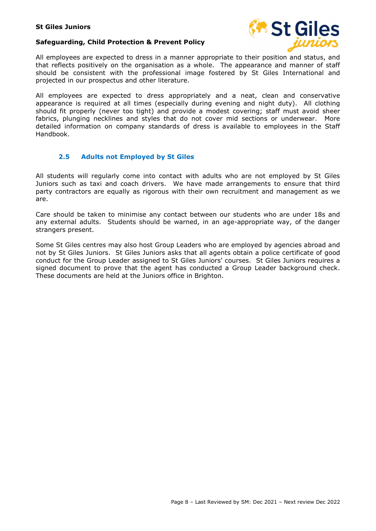



All employees are expected to dress in a manner appropriate to their position and status, and that reflects positively on the organisation as a whole. The appearance and manner of staff should be consistent with the professional image fostered by St Giles International and projected in our prospectus and other literature.

All employees are expected to dress appropriately and a neat, clean and conservative appearance is required at all times (especially during evening and night duty). All clothing should fit properly (never too tight) and provide a modest covering; staff must avoid sheer fabrics, plunging necklines and styles that do not cover mid sections or underwear. More detailed information on company standards of dress is available to employees in the Staff Handbook.

#### 2.5 Adults not Employed by St Giles

All students will regularly come into contact with adults who are not employed by St Giles Juniors such as taxi and coach drivers. We have made arrangements to ensure that third party contractors are equally as rigorous with their own recruitment and management as we are.

Care should be taken to minimise any contact between our students who are under 18s and any external adults. Students should be warned, in an age-appropriate way, of the danger strangers present.

Some St Giles centres may also host Group Leaders who are employed by agencies abroad and not by St Giles Juniors. St Giles Juniors asks that all agents obtain a police certificate of good conduct for the Group Leader assigned to St Giles Juniors' courses. St Giles Juniors requires a signed document to prove that the agent has conducted a Group Leader background check. These documents are held at the Juniors office in Brighton.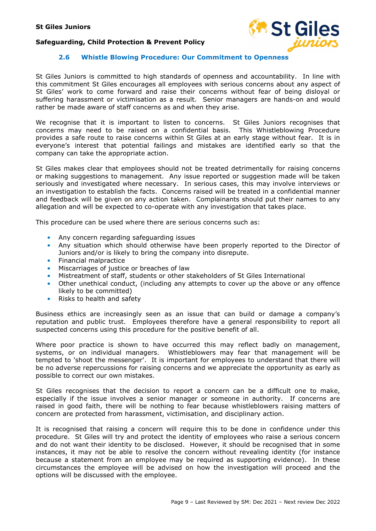

#### 2.6 Whistle Blowing Procedure: Our Commitment to Openness

St Giles Juniors is committed to high standards of openness and accountability. In line with this commitment St Giles encourages all employees with serious concerns about any aspect of St Giles' work to come forward and raise their concerns without fear of being disloyal or suffering harassment or victimisation as a result. Senior managers are hands-on and would rather be made aware of staff concerns as and when they arise.

We recognise that it is important to listen to concerns. St Giles Juniors recognises that concerns may need to be raised on a confidential basis. This Whistleblowing Procedure provides a safe route to raise concerns within St Giles at an early stage without fear. It is in everyone's interest that potential failings and mistakes are identified early so that the company can take the appropriate action.

St Giles makes clear that employees should not be treated detrimentally for raising concerns or making suggestions to management. Any issue reported or suggestion made will be taken seriously and investigated where necessary. In serious cases, this may involve interviews or an investigation to establish the facts. Concerns raised will be treated in a confidential manner and feedback will be given on any action taken. Complainants should put their names to any allegation and will be expected to co-operate with any investigation that takes place.

This procedure can be used where there are serious concerns such as:

- Any concern regarding safeguarding issues
- Any situation which should otherwise have been properly reported to the Director of Juniors and/or is likely to bring the company into disrepute.
- Financial malpractice
- Miscarriages of justice or breaches of law
- Mistreatment of staff, students or other stakeholders of St Giles International
- Other unethical conduct, (including any attempts to cover up the above or any offence likely to be committed)
- Risks to health and safety

Business ethics are increasingly seen as an issue that can build or damage a company's reputation and public trust. Employees therefore have a general responsibility to report all suspected concerns using this procedure for the positive benefit of all.

Where poor practice is shown to have occurred this may reflect badly on management, systems, or on individual managers. Whistleblowers may fear that management will be tempted to 'shoot the messenger'. It is important for employees to understand that there will be no adverse repercussions for raising concerns and we appreciate the opportunity as early as possible to correct our own mistakes.

St Giles recognises that the decision to report a concern can be a difficult one to make, especially if the issue involves a senior manager or someone in authority. If concerns are raised in good faith, there will be nothing to fear because whistleblowers raising matters of concern are protected from harassment, victimisation, and disciplinary action.

It is recognised that raising a concern will require this to be done in confidence under this procedure. St Giles will try and protect the identity of employees who raise a serious concern and do not want their identity to be disclosed. However, it should be recognised that in some instances, it may not be able to resolve the concern without revealing identity (for instance because a statement from an employee may be required as supporting evidence). In these circumstances the employee will be advised on how the investigation will proceed and the options will be discussed with the employee.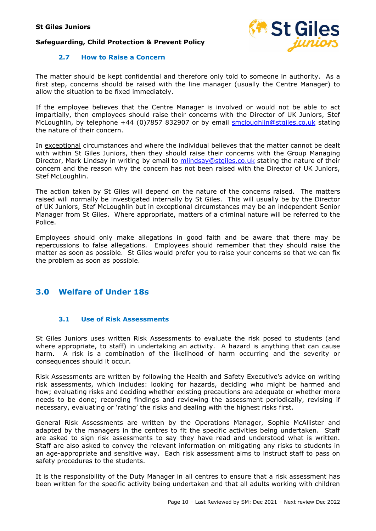

#### 2.7 How to Raise a Concern

The matter should be kept confidential and therefore only told to someone in authority. As a first step, concerns should be raised with the line manager (usually the Centre Manager) to allow the situation to be fixed immediately.

If the employee believes that the Centre Manager is involved or would not be able to act impartially, then employees should raise their concerns with the Director of UK Juniors, Stef McLoughlin, by telephone +44 (0)7857 832907 or by email smcloughlin@stgiles.co.uk stating the nature of their concern.

In exceptional circumstances and where the individual believes that the matter cannot be dealt with within St Giles Juniors, then they should raise their concerns with the Group Managing Director, Mark Lindsay in writing by email to mlindsay@stgiles.co.uk stating the nature of their concern and the reason why the concern has not been raised with the Director of UK Juniors, Stef McLoughlin.

The action taken by St Giles will depend on the nature of the concerns raised. The matters raised will normally be investigated internally by St Giles. This will usually be by the Director of UK Juniors, Stef McLoughlin but in exceptional circumstances may be an independent Senior Manager from St Giles. Where appropriate, matters of a criminal nature will be referred to the Police.

Employees should only make allegations in good faith and be aware that there may be repercussions to false allegations. Employees should remember that they should raise the matter as soon as possible. St Giles would prefer you to raise your concerns so that we can fix the problem as soon as possible.

# 3.0 Welfare of Under 18s

#### 3.1 Use of Risk Assessments

St Giles Juniors uses written Risk Assessments to evaluate the risk posed to students (and where appropriate, to staff) in undertaking an activity. A hazard is anything that can cause harm. A risk is a combination of the likelihood of harm occurring and the severity or consequences should it occur.

Risk Assessments are written by following the Health and Safety Executive's advice on writing risk assessments, which includes: looking for hazards, deciding who might be harmed and how; evaluating risks and deciding whether existing precautions are adequate or whether more needs to be done; recording findings and reviewing the assessment periodically, revising if necessary, evaluating or 'rating' the risks and dealing with the highest risks first.

General Risk Assessments are written by the Operations Manager, Sophie McAllister and adapted by the managers in the centres to fit the specific activities being undertaken. Staff are asked to sign risk assessments to say they have read and understood what is written. Staff are also asked to convey the relevant information on mitigating any risks to students in an age-appropriate and sensitive way. Each risk assessment aims to instruct staff to pass on safety procedures to the students.

It is the responsibility of the Duty Manager in all centres to ensure that a risk assessment has been written for the specific activity being undertaken and that all adults working with children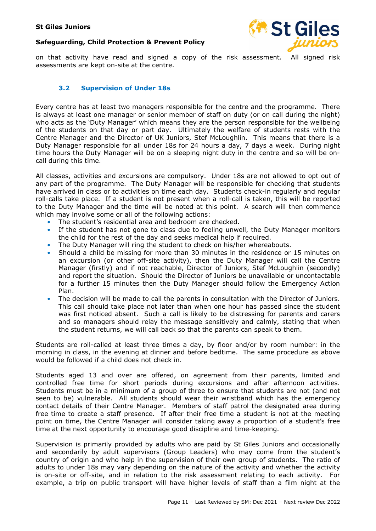



on that activity have read and signed a copy of the risk assessment. All signed risk assessments are kept on-site at the centre.

#### 3.2 Supervision of Under 18s

Every centre has at least two managers responsible for the centre and the programme. There is always at least one manager or senior member of staff on duty (or on call during the night) who acts as the 'Duty Manager' which means they are the person responsible for the wellbeing of the students on that day or part day. Ultimately the welfare of students rests with the Centre Manager and the Director of UK Juniors, Stef McLoughlin. This means that there is a Duty Manager responsible for all under 18s for 24 hours a day, 7 days a week. During night time hours the Duty Manager will be on a sleeping night duty in the centre and so will be oncall during this time.

All classes, activities and excursions are compulsory. Under 18s are not allowed to opt out of any part of the programme. The Duty Manager will be responsible for checking that students have arrived in class or to activities on time each day. Students check-in regularly and regular roll-calls take place. If a student is not present when a roll-call is taken, this will be reported to the Duty Manager and the time will be noted at this point. A search will then commence which may involve some or all of the following actions:

- The student's residential area and bedroom are checked.
- If the student has not gone to class due to feeling unwell, the Duty Manager monitors the child for the rest of the day and seeks medical help if required.
- The Duty Manager will ring the student to check on his/her whereabouts.
- Should a child be missing for more than 30 minutes in the residence or 15 minutes on an excursion (or other off-site activity), then the Duty Manager will call the Centre Manager (firstly) and if not reachable, Director of Juniors, Stef McLoughlin (secondly) and report the situation. Should the Director of Juniors be unavailable or uncontactable for a further 15 minutes then the Duty Manager should follow the Emergency Action Plan.
- The decision will be made to call the parents in consultation with the Director of Juniors. This call should take place not later than when one hour has passed since the student was first noticed absent. Such a call is likely to be distressing for parents and carers and so managers should relay the message sensitively and calmly, stating that when the student returns, we will call back so that the parents can speak to them.

Students are roll-called at least three times a day, by floor and/or by room number: in the morning in class, in the evening at dinner and before bedtime. The same procedure as above would be followed if a child does not check in.

Students aged 13 and over are offered, on agreement from their parents, limited and controlled free time for short periods during excursions and after afternoon activities. Students must be in a minimum of a group of three to ensure that students are not (and not seen to be) vulnerable. All students should wear their wristband which has the emergency contact details of their Centre Manager. Members of staff patrol the designated area during free time to create a staff presence. If after their free time a student is not at the meeting point on time, the Centre Manager will consider taking away a proportion of a student's free time at the next opportunity to encourage good discipline and time-keeping.

Supervision is primarily provided by adults who are paid by St Giles Juniors and occasionally and secondarily by adult supervisors (Group Leaders) who may come from the student's country of origin and who help in the supervision of their own group of students. The ratio of adults to under 18s may vary depending on the nature of the activity and whether the activity is on-site or off-site, and in relation to the risk assessment relating to each activity. For example, a trip on public transport will have higher levels of staff than a film night at the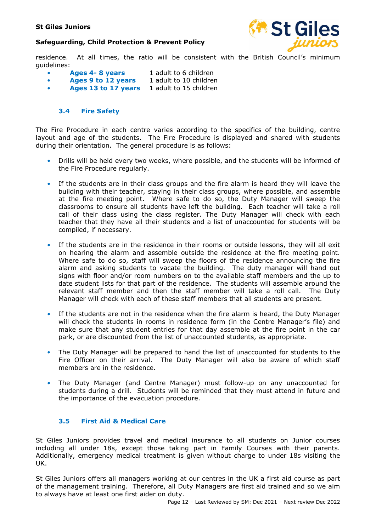

residence. At all times, the ratio will be consistent with the British Council's minimum guidelines:

- Ages 4-8 years 1 adult to 6 children
- Ages 9 to 12 years 1 adult to 10 children
- Ages 13 to 17 years 1 adult to 15 children

#### 3.4 Fire Safety

The Fire Procedure in each centre varies according to the specifics of the building, centre layout and age of the students. The Fire Procedure is displayed and shared with students during their orientation. The general procedure is as follows:

- Drills will be held every two weeks, where possible, and the students will be informed of the Fire Procedure regularly.
- If the students are in their class groups and the fire alarm is heard they will leave the building with their teacher, staying in their class groups, where possible, and assemble at the fire meeting point. Where safe to do so, the Duty Manager will sweep the classrooms to ensure all students have left the building. Each teacher will take a roll call of their class using the class register. The Duty Manager will check with each teacher that they have all their students and a list of unaccounted for students will be compiled, if necessary.
- If the students are in the residence in their rooms or outside lessons, they will all exit on hearing the alarm and assemble outside the residence at the fire meeting point. Where safe to do so, staff will sweep the floors of the residence announcing the fire alarm and asking students to vacate the building. The duty manager will hand out signs with floor and/or room numbers on to the available staff members and the up to date student lists for that part of the residence. The students will assemble around the relevant staff member and then the staff member will take a roll call. The Duty Manager will check with each of these staff members that all students are present.
- If the students are not in the residence when the fire alarm is heard, the Duty Manager will check the students in rooms in residence form (in the Centre Manager's file) and make sure that any student entries for that day assemble at the fire point in the car park, or are discounted from the list of unaccounted students, as appropriate.
- The Duty Manager will be prepared to hand the list of unaccounted for students to the Fire Officer on their arrival. The Duty Manager will also be aware of which staff members are in the residence.
- The Duty Manager (and Centre Manager) must follow-up on any unaccounted for students during a drill. Students will be reminded that they must attend in future and the importance of the evacuation procedure.

#### 3.5 First Aid & Medical Care

St Giles Juniors provides travel and medical insurance to all students on Junior courses including all under 18s, except those taking part in Family Courses with their parents. Additionally, emergency medical treatment is given without charge to under 18s visiting the UK.

St Giles Juniors offers all managers working at our centres in the UK a first aid course as part of the management training. Therefore, all Duty Managers are first aid trained and so we aim to always have at least one first aider on duty.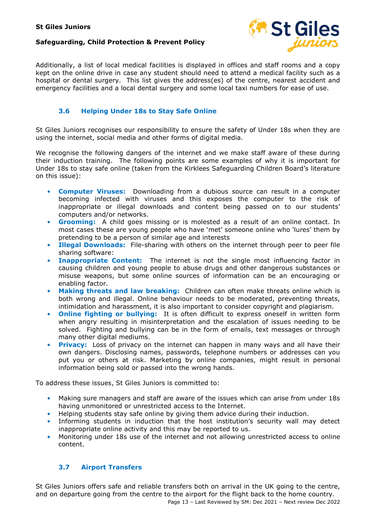#### Safeguarding, Child Protection & Prevent Policy



Additionally, a list of local medical facilities is displayed in offices and staff rooms and a copy kept on the online drive in case any student should need to attend a medical facility such as a hospital or dental surgery. This list gives the address(es) of the centre, nearest accident and emergency facilities and a local dental surgery and some local taxi numbers for ease of use.

#### 3.6 Helping Under 18s to Stay Safe Online

St Giles Juniors recognises our responsibility to ensure the safety of Under 18s when they are using the internet, social media and other forms of digital media.

We recognise the following dangers of the internet and we make staff aware of these during their induction training. The following points are some examples of why it is important for Under 18s to stay safe online (taken from the Kirklees Safeguarding Children Board's literature on this issue):

- **Computer Viruses:** Downloading from a dubious source can result in a computer becoming infected with viruses and this exposes the computer to the risk of inappropriate or illegal downloads and content being passed on to our students' computers and/or networks.
- Grooming: A child goes missing or is molested as a result of an online contact. In most cases these are young people who have 'met' someone online who 'lures' them by pretending to be a person of similar age and interests
- Illegal Downloads: File-sharing with others on the internet through peer to peer file sharing software:
- **Inappropriate Content:** The internet is not the single most influencing factor in causing children and young people to abuse drugs and other dangerous substances or misuse weapons, but some online sources of information can be an encouraging or enabling factor.
- Making threats and law breaking: Children can often make threats online which is both wrong and illegal. Online behaviour needs to be moderated, preventing threats, intimidation and harassment, it is also important to consider copyright and plagiarism.
- Online fighting or bullying: It is often difficult to express oneself in written form when angry resulting in misinterpretation and the escalation of issues needing to be solved. Fighting and bullying can be in the form of emails, text messages or through many other digital mediums.
- **Privacy:** Loss of privacy on the internet can happen in many ways and all have their own dangers. Disclosing names, passwords, telephone numbers or addresses can you put you or others at risk. Marketing by online companies, might result in personal information being sold or passed into the wrong hands.

To address these issues, St Giles Juniors is committed to:

- Making sure managers and staff are aware of the issues which can arise from under 18s having unmonitored or unrestricted access to the Internet.
- Helping students stay safe online by giving them advice during their induction.
- Informing students in induction that the host institution's security wall may detect inappropriate online activity and this may be reported to us.
- Monitoring under 18s use of the internet and not allowing unrestricted access to online content.

# 3.7 Airport Transfers

St Giles Juniors offers safe and reliable transfers both on arrival in the UK going to the centre, and on departure going from the centre to the airport for the flight back to the home country.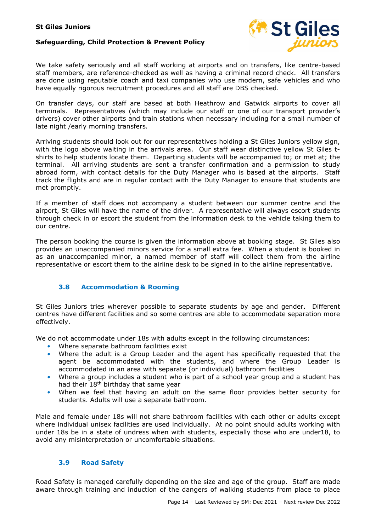

We take safety seriously and all staff working at airports and on transfers, like centre-based staff members, are reference-checked as well as having a criminal record check. All transfers are done using reputable coach and taxi companies who use modern, safe vehicles and who have equally rigorous recruitment procedures and all staff are DBS checked.

On transfer days, our staff are based at both Heathrow and Gatwick airports to cover all terminals. Representatives (which may include our staff or one of our transport provider's drivers) cover other airports and train stations when necessary including for a small number of late night /early morning transfers.

Arriving students should look out for our representatives holding a St Giles Juniors yellow sign, with the logo above waiting in the arrivals area. Our staff wear distinctive yellow St Giles tshirts to help students locate them. Departing students will be accompanied to; or met at; the terminal. All arriving students are sent a transfer confirmation and a permission to study abroad form, with contact details for the Duty Manager who is based at the airports. Staff track the flights and are in regular contact with the Duty Manager to ensure that students are met promptly.

If a member of staff does not accompany a student between our summer centre and the airport, St Giles will have the name of the driver. A representative will always escort students through check in or escort the student from the information desk to the vehicle taking them to our centre.

The person booking the course is given the information above at booking stage. St Giles also provides an unaccompanied minors service for a small extra fee. When a student is booked in as an unaccompanied minor, a named member of staff will collect them from the airline representative or escort them to the airline desk to be signed in to the airline representative.

#### 3.8 Accommodation & Rooming

St Giles Juniors tries wherever possible to separate students by age and gender. Different centres have different facilities and so some centres are able to accommodate separation more effectively.

We do not accommodate under 18s with adults except in the following circumstances:

- Where separate bathroom facilities exist
- Where the adult is a Group Leader and the agent has specifically requested that the agent be accommodated with the students, and where the Group Leader is accommodated in an area with separate (or individual) bathroom facilities
- Where a group includes a student who is part of a school year group and a student has had their 18<sup>th</sup> birthday that same year
- When we feel that having an adult on the same floor provides better security for students. Adults will use a separate bathroom.

Male and female under 18s will not share bathroom facilities with each other or adults except where individual unisex facilities are used individually. At no point should adults working with under 18s be in a state of undress when with students, especially those who are under18, to avoid any misinterpretation or uncomfortable situations.

#### 3.9 Road Safety

Road Safety is managed carefully depending on the size and age of the group. Staff are made aware through training and induction of the dangers of walking students from place to place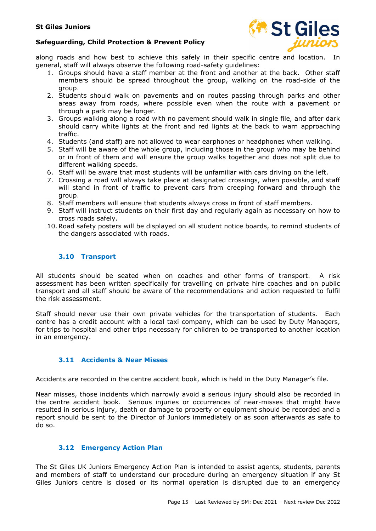

along roads and how best to achieve this safely in their specific centre and location. In general, staff will always observe the following road-safety guidelines:

- 1. Groups should have a staff member at the front and another at the back. Other staff members should be spread throughout the group, walking on the road-side of the group.
- 2. Students should walk on pavements and on routes passing through parks and other areas away from roads, where possible even when the route with a pavement or through a park may be longer.
- 3. Groups walking along a road with no pavement should walk in single file, and after dark should carry white lights at the front and red lights at the back to warn approaching traffic.
- 4. Students (and staff) are not allowed to wear earphones or headphones when walking.
- 5. Staff will be aware of the whole group, including those in the group who may be behind or in front of them and will ensure the group walks together and does not split due to different walking speeds.
- 6. Staff will be aware that most students will be unfamiliar with cars driving on the left.
- 7. Crossing a road will always take place at designated crossings, when possible, and staff will stand in front of traffic to prevent cars from creeping forward and through the group.
- 8. Staff members will ensure that students always cross in front of staff members.
- 9. Staff will instruct students on their first day and regularly again as necessary on how to cross roads safely.
- 10.Road safety posters will be displayed on all student notice boards, to remind students of the dangers associated with roads.

#### 3.10 Transport

All students should be seated when on coaches and other forms of transport. A risk assessment has been written specifically for travelling on private hire coaches and on public transport and all staff should be aware of the recommendations and action requested to fulfil the risk assessment.

Staff should never use their own private vehicles for the transportation of students. Each centre has a credit account with a local taxi company, which can be used by Duty Managers, for trips to hospital and other trips necessary for children to be transported to another location in an emergency.

#### 3.11 Accidents & Near Misses

Accidents are recorded in the centre accident book, which is held in the Duty Manager's file.

Near misses, those incidents which narrowly avoid a serious injury should also be recorded in the centre accident book. Serious injuries or occurrences of near-misses that might have resulted in serious injury, death or damage to property or equipment should be recorded and a report should be sent to the Director of Juniors immediately or as soon afterwards as safe to do so.

#### 3.12 Emergency Action Plan

The St Giles UK Juniors Emergency Action Plan is intended to assist agents, students, parents and members of staff to understand our procedure during an emergency situation if any St Giles Juniors centre is closed or its normal operation is disrupted due to an emergency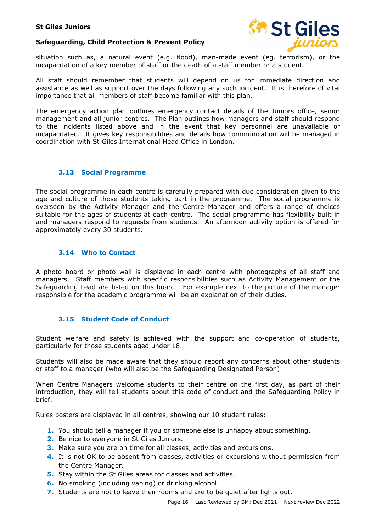



situation such as, a natural event (e.g. flood), man-made event (eg. terrorism), or the incapacitation of a key member of staff or the death of a staff member or a student.

All staff should remember that students will depend on us for immediate direction and assistance as well as support over the days following any such incident. It is therefore of vital importance that all members of staff become familiar with this plan.

The emergency action plan outlines emergency contact details of the Juniors office, senior management and all junior centres. The Plan outlines how managers and staff should respond to the incidents listed above and in the event that key personnel are unavailable or incapacitated. It gives key responsibilities and details how communication will be managed in coordination with St Giles International Head Office in London.

#### 3.13 Social Programme

The social programme in each centre is carefully prepared with due consideration given to the age and culture of those students taking part in the programme. The social programme is overseen by the Activity Manager and the Centre Manager and offers a range of choices suitable for the ages of students at each centre. The social programme has flexibility built in and managers respond to requests from students. An afternoon activity option is offered for approximately every 30 students.

#### 3.14 Who to Contact

A photo board or photo wall is displayed in each centre with photographs of all staff and managers. Staff members with specific responsibilities such as Activity Management or the Safeguarding Lead are listed on this board. For example next to the picture of the manager responsible for the academic programme will be an explanation of their duties.

#### 3.15 Student Code of Conduct

Student welfare and safety is achieved with the support and co-operation of students, particularly for those students aged under 18.

Students will also be made aware that they should report any concerns about other students or staff to a manager (who will also be the Safeguarding Designated Person).

When Centre Managers welcome students to their centre on the first day, as part of their introduction, they will tell students about this code of conduct and the Safeguarding Policy in brief.

Rules posters are displayed in all centres, showing our 10 student rules:

- 1. You should tell a manager if you or someone else is unhappy about something.
- 2. Be nice to everyone in St Giles Juniors.
- **3.** Make sure you are on time for all classes, activities and excursions.
- 4. It is not OK to be absent from classes, activities or excursions without permission from the Centre Manager.
- 5. Stay within the St Giles areas for classes and activities.
- 6. No smoking (including vaping) or drinking alcohol.
- 7. Students are not to leave their rooms and are to be quiet after lights out.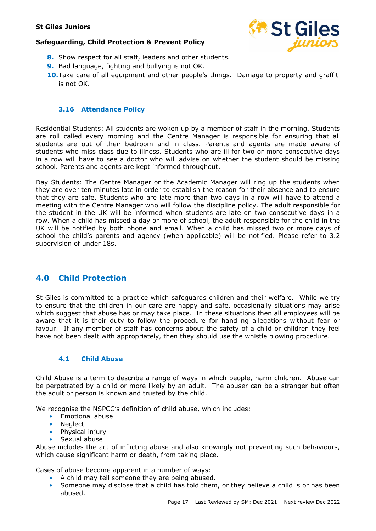#### Safeguarding, Child Protection & Prevent Policy



- 8. Show respect for all staff, leaders and other students.
- 9. Bad language, fighting and bullying is not OK.
- **10.** Take care of all equipment and other people's things. Damage to property and graffiti is not OK.

#### 3.16 Attendance Policy

Residential Students: All students are woken up by a member of staff in the morning. Students are roll called every morning and the Centre Manager is responsible for ensuring that all students are out of their bedroom and in class. Parents and agents are made aware of students who miss class due to illness. Students who are ill for two or more consecutive days in a row will have to see a doctor who will advise on whether the student should be missing school. Parents and agents are kept informed throughout.

Day Students: The Centre Manager or the Academic Manager will ring up the students when they are over ten minutes late in order to establish the reason for their absence and to ensure that they are safe. Students who are late more than two days in a row will have to attend a meeting with the Centre Manager who will follow the discipline policy. The adult responsible for the student in the UK will be informed when students are late on two consecutive days in a row. When a child has missed a day or more of school, the adult responsible for the child in the UK will be notified by both phone and email. When a child has missed two or more days of school the child's parents and agency (when applicable) will be notified. Please refer to 3.2 supervision of under 18s.

# 4.0 Child Protection

St Giles is committed to a practice which safeguards children and their welfare. While we try to ensure that the children in our care are happy and safe, occasionally situations may arise which suggest that abuse has or may take place. In these situations then all employees will be aware that it is their duty to follow the procedure for handling allegations without fear or favour. If any member of staff has concerns about the safety of a child or children they feel have not been dealt with appropriately, then they should use the whistle blowing procedure.

#### 4.1 Child Abuse

Child Abuse is a term to describe a range of ways in which people, harm children. Abuse can be perpetrated by a child or more likely by an adult. The abuser can be a stranger but often the adult or person is known and trusted by the child.

We recognise the NSPCC's definition of child abuse, which includes:

- Emotional abuse
- **Neglect**
- Physical injury
- Sexual abuse

Abuse includes the act of inflicting abuse and also knowingly not preventing such behaviours, which cause significant harm or death, from taking place.

Cases of abuse become apparent in a number of ways:

- A child may tell someone they are being abused.
- Someone may disclose that a child has told them, or they believe a child is or has been abused.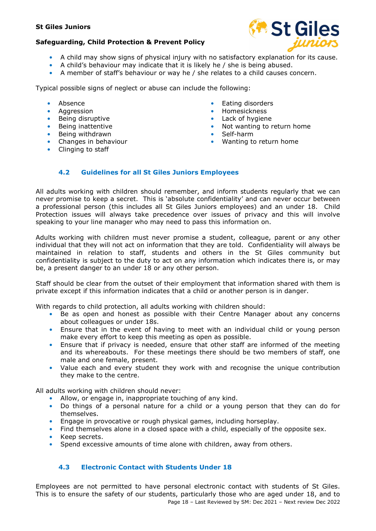#### Safeguarding, Child Protection & Prevent Policy



- A child may show signs of physical injury with no satisfactory explanation for its cause.
- A child's behaviour may indicate that it is likely he / she is being abused.
- A member of staff's behaviour or way he / she relates to a child causes concern.

Typical possible signs of neglect or abuse can include the following:

- Absence
- Aggression
- Being disruptive
- Being inattentive
- Being withdrawn
- Changes in behaviour
- Clinging to staff
- Eating disorders
- Homesickness
- Lack of hygiene
- Not wanting to return home
- Self-harm
- Wanting to return home

#### 4.2 Guidelines for all St Giles Juniors Employees

All adults working with children should remember, and inform students regularly that we can never promise to keep a secret. This is 'absolute confidentiality' and can never occur between a professional person (this includes all St Giles Juniors employees) and an under 18. Child Protection issues will always take precedence over issues of privacy and this will involve speaking to your line manager who may need to pass this information on.

Adults working with children must never promise a student, colleague, parent or any other individual that they will not act on information that they are told. Confidentiality will always be maintained in relation to staff, students and others in the St Giles community but confidentiality is subject to the duty to act on any information which indicates there is, or may be, a present danger to an under 18 or any other person.

Staff should be clear from the outset of their employment that information shared with them is private except if this information indicates that a child or another person is in danger.

With regards to child protection, all adults working with children should:

- Be as open and honest as possible with their Centre Manager about any concerns about colleagues or under 18s.
- Ensure that in the event of having to meet with an individual child or young person make every effort to keep this meeting as open as possible.
- Ensure that if privacy is needed, ensure that other staff are informed of the meeting and its whereabouts. For these meetings there should be two members of staff, one male and one female, present.
- Value each and every student they work with and recognise the unique contribution they make to the centre.

All adults working with children should never:

- Allow, or engage in, inappropriate touching of any kind.
- Do things of a personal nature for a child or a young person that they can do for themselves.
- Engage in provocative or rough physical games, including horseplay.
- Find themselves alone in a closed space with a child, especially of the opposite sex.
- Keep secrets.
- Spend excessive amounts of time alone with children, away from others.

#### 4.3 Electronic Contact with Students Under 18

Page 18 – Last Reviewed by SM: Dec 2021 – Next review Dec 2022 Employees are not permitted to have personal electronic contact with students of St Giles. This is to ensure the safety of our students, particularly those who are aged under 18, and to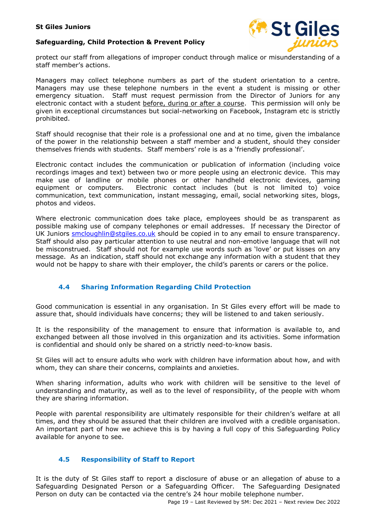#### Safeguarding, Child Protection & Prevent Policy



protect our staff from allegations of improper conduct through malice or misunderstanding of a staff member's actions.

Managers may collect telephone numbers as part of the student orientation to a centre. Managers may use these telephone numbers in the event a student is missing or other emergency situation. Staff must request permission from the Director of Juniors for any electronic contact with a student before, during or after a course. This permission will only be given in exceptional circumstances but social-networking on Facebook, Instagram etc is strictly prohibited.

Staff should recognise that their role is a professional one and at no time, given the imbalance of the power in the relationship between a staff member and a student, should they consider themselves friends with students. Staff members' role is as a 'friendly professional'.

Electronic contact includes the communication or publication of information (including voice recordings images and text) between two or more people using an electronic device. This may make use of landline or mobile phones or other handheld electronic devices, gaming equipment or computers. Electronic contact includes (but is not limited to) voice communication, text communication, instant messaging, email, social networking sites, blogs, photos and videos.

Where electronic communication does take place, employees should be as transparent as possible making use of company telephones or email addresses. If necessary the Director of UK Juniors smcloughlin@stgiles.co.uk should be copied in to any email to ensure transparency. Staff should also pay particular attention to use neutral and non-emotive language that will not be misconstrued. Staff should not for example use words such as 'love' or put kisses on any message. As an indication, staff should not exchange any information with a student that they would not be happy to share with their employer, the child's parents or carers or the police.

#### 4.4 Sharing Information Regarding Child Protection

Good communication is essential in any organisation. In St Giles every effort will be made to assure that, should individuals have concerns; they will be listened to and taken seriously.

It is the responsibility of the management to ensure that information is available to, and exchanged between all those involved in this organization and its activities. Some information is confidential and should only be shared on a strictly need-to-know basis.

St Giles will act to ensure adults who work with children have information about how, and with whom, they can share their concerns, complaints and anxieties.

When sharing information, adults who work with children will be sensitive to the level of understanding and maturity, as well as to the level of responsibility, of the people with whom they are sharing information.

People with parental responsibility are ultimately responsible for their children's welfare at all times, and they should be assured that their children are involved with a credible organisation. An important part of how we achieve this is by having a full copy of this Safeguarding Policy available for anyone to see.

#### 4.5 Responsibility of Staff to Report

It is the duty of St Giles staff to report a disclosure of abuse or an allegation of abuse to a Safeguarding Designated Person or a Safeguarding Officer. The Safeguarding Designated Person on duty can be contacted via the centre's 24 hour mobile telephone number.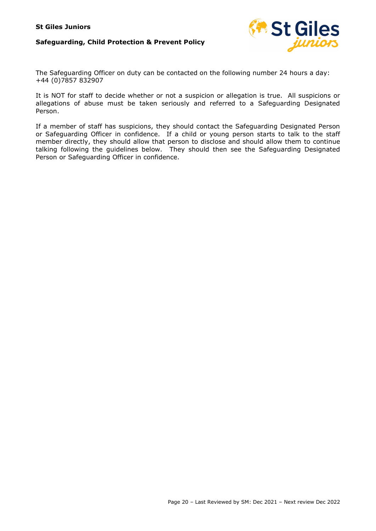

The Safeguarding Officer on duty can be contacted on the following number 24 hours a day: +44 (0)7857 832907

It is NOT for staff to decide whether or not a suspicion or allegation is true. All suspicions or allegations of abuse must be taken seriously and referred to a Safeguarding Designated Person.

If a member of staff has suspicions, they should contact the Safeguarding Designated Person or Safeguarding Officer in confidence. If a child or young person starts to talk to the staff member directly, they should allow that person to disclose and should allow them to continue talking following the guidelines below. They should then see the Safeguarding Designated Person or Safeguarding Officer in confidence.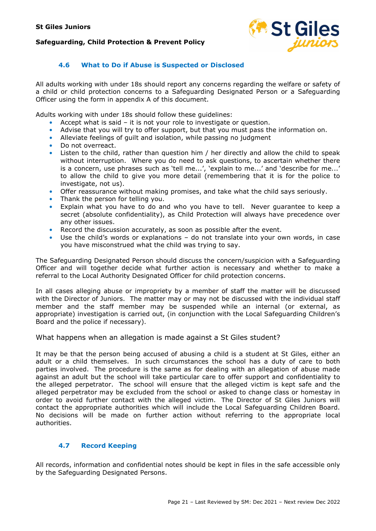

#### 4.6 What to Do if Abuse is Suspected or Disclosed

All adults working with under 18s should report any concerns regarding the welfare or safety of a child or child protection concerns to a Safeguarding Designated Person or a Safeguarding Officer using the form in appendix A of this document.

Adults working with under 18s should follow these guidelines:

- Accept what is said it is not your role to investigate or question.
- Advise that you will try to offer support, but that you must pass the information on.
- Alleviate feelings of guilt and isolation, while passing no judgment
- Do not overreact.
- Listen to the child, rather than question him / her directly and allow the child to speak without interruption. Where you do need to ask questions, to ascertain whether there is a concern, use phrases such as 'tell me...', 'explain to me...' and 'describe for me...' to allow the child to give you more detail (remembering that it is for the police to investigate, not us).
- Offer reassurance without making promises, and take what the child says seriously.
- Thank the person for telling you.
- Explain what you have to do and who you have to tell. Never guarantee to keep a secret (absolute confidentiality), as Child Protection will always have precedence over any other issues.
- Record the discussion accurately, as soon as possible after the event.
- Use the child's words or explanations do not translate into your own words, in case you have misconstrued what the child was trying to say.

The Safeguarding Designated Person should discuss the concern/suspicion with a Safeguarding Officer and will together decide what further action is necessary and whether to make a referral to the Local Authority Designated Officer for child protection concerns.

In all cases alleging abuse or impropriety by a member of staff the matter will be discussed with the Director of Juniors. The matter may or may not be discussed with the individual staff member and the staff member may be suspended while an internal (or external, as appropriate) investigation is carried out, (in conjunction with the Local Safeguarding Children's Board and the police if necessary).

#### What happens when an allegation is made against a St Giles student?

It may be that the person being accused of abusing a child is a student at St Giles, either an adult or a child themselves. In such circumstances the school has a duty of care to both parties involved. The procedure is the same as for dealing with an allegation of abuse made against an adult but the school will take particular care to offer support and confidentiality to the alleged perpetrator. The school will ensure that the alleged victim is kept safe and the alleged perpetrator may be excluded from the school or asked to change class or homestay in order to avoid further contact with the alleged victim. The Director of St Giles Juniors will contact the appropriate authorities which will include the Local Safeguarding Children Board. No decisions will be made on further action without referring to the appropriate local authorities.

#### 4.7 Record Keeping

All records, information and confidential notes should be kept in files in the safe accessible only by the Safeguarding Designated Persons.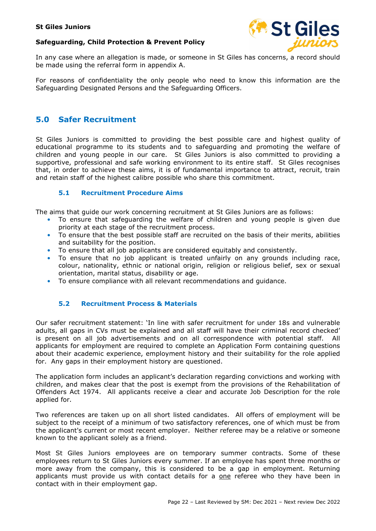



In any case where an allegation is made, or someone in St Giles has concerns, a record should be made using the referral form in appendix A.

For reasons of confidentiality the only people who need to know this information are the Safeguarding Designated Persons and the Safeguarding Officers.

# 5.0 Safer Recruitment

St Giles Juniors is committed to providing the best possible care and highest quality of educational programme to its students and to safeguarding and promoting the welfare of children and young people in our care. St Giles Juniors is also committed to providing a supportive, professional and safe working environment to its entire staff. St Giles recognises that, in order to achieve these aims, it is of fundamental importance to attract, recruit, train and retain staff of the highest calibre possible who share this commitment.

#### 5.1 Recruitment Procedure Aims

The aims that guide our work concerning recruitment at St Giles Juniors are as follows:

- To ensure that safeguarding the welfare of children and young people is given due priority at each stage of the recruitment process.
- To ensure that the best possible staff are recruited on the basis of their merits, abilities and suitability for the position.
- To ensure that all job applicants are considered equitably and consistently.
- To ensure that no job applicant is treated unfairly on any grounds including race, colour, nationality, ethnic or national origin, religion or religious belief, sex or sexual orientation, marital status, disability or age.
- To ensure compliance with all relevant recommendations and guidance.

#### 5.2 Recruitment Process & Materials

Our safer recruitment statement: 'In line with safer recruitment for under 18s and vulnerable adults, all gaps in CVs must be explained and all staff will have their criminal record checked' is present on all job advertisements and on all correspondence with potential staff. All applicants for employment are required to complete an Application Form containing questions about their academic experience, employment history and their suitability for the role applied for. Any gaps in their employment history are questioned.

The application form includes an applicant's declaration regarding convictions and working with children, and makes clear that the post is exempt from the provisions of the Rehabilitation of Offenders Act 1974. All applicants receive a clear and accurate Job Description for the role applied for.

Two references are taken up on all short listed candidates. All offers of employment will be subject to the receipt of a minimum of two satisfactory references, one of which must be from the applicant's current or most recent employer. Neither referee may be a relative or someone known to the applicant solely as a friend.

Most St Giles Juniors employees are on temporary summer contracts. Some of these employees return to St Giles Juniors every summer. If an employee has spent three months or more away from the company, this is considered to be a gap in employment. Returning applicants must provide us with contact details for a one referee who they have been in contact with in their employment gap.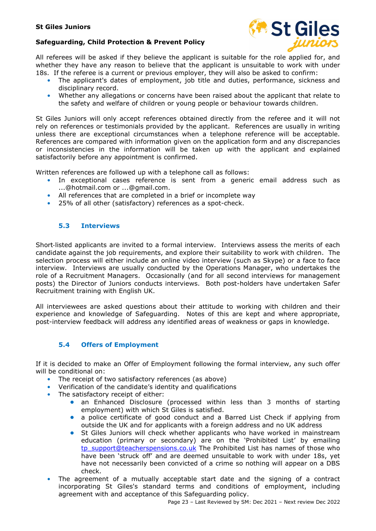#### Safeguarding, Child Protection & Prevent Policy



All referees will be asked if they believe the applicant is suitable for the role applied for, and whether they have any reason to believe that the applicant is unsuitable to work with under 18s. If the referee is a current or previous employer, they will also be asked to confirm:

- - The applicant's dates of employment, job title and duties, performance, sickness and disciplinary record.
	- Whether any allegations or concerns have been raised about the applicant that relate to the safety and welfare of children or young people or behaviour towards children.

St Giles Juniors will only accept references obtained directly from the referee and it will not rely on references or testimonials provided by the applicant. References are usually in writing unless there are exceptional circumstances when a telephone reference will be acceptable. References are compared with information given on the application form and any discrepancies or inconsistencies in the information will be taken up with the applicant and explained satisfactorily before any appointment is confirmed.

Written references are followed up with a telephone call as follows:

- In exceptional cases reference is sent from a generic email address such as ...@hotmail.com or ...@gmail.com.
- All references that are completed in a brief or incomplete way
- 25% of all other (satisfactory) references as a spot-check.

#### 5.3 Interviews

Short-listed applicants are invited to a formal interview. Interviews assess the merits of each candidate against the job requirements, and explore their suitability to work with children. The selection process will either include an online video interview (such as Skype) or a face to face interview. Interviews are usually conducted by the Operations Manager, who undertakes the role of a Recruitment Managers. Occasionally (and for all second interviews for management posts) the Director of Juniors conducts interviews. Both post-holders have undertaken Safer Recruitment training with English UK.

All interviewees are asked questions about their attitude to working with children and their experience and knowledge of Safeguarding. Notes of this are kept and where appropriate, post-interview feedback will address any identified areas of weakness or gaps in knowledge.

#### 5.4 Offers of Employment

If it is decided to make an Offer of Employment following the formal interview, any such offer will be conditional on:

- The receipt of two satisfactory references (as above)
- Verification of the candidate's identity and qualifications
- The satisfactory receipt of either:
	- an Enhanced Disclosure (processed within less than 3 months of starting employment) with which St Giles is satisfied.
	- a police certificate of good conduct and a Barred List Check if applying from outside the UK and for applicants with a foreign address and no UK address
	- St Giles Juniors will check whether applicants who have worked in mainstream education (primary or secondary) are on the 'Prohibited List' by emailing tp\_support@teacherspensions.co.uk The Prohibited List has names of those who have been 'struck off' and are deemed unsuitable to work with under 18s, yet have not necessarily been convicted of a crime so nothing will appear on a DBS check.
- The agreement of a mutually acceptable start date and the signing of a contract incorporating St Giles's standard terms and conditions of employment, including agreement with and acceptance of this Safeguarding policy.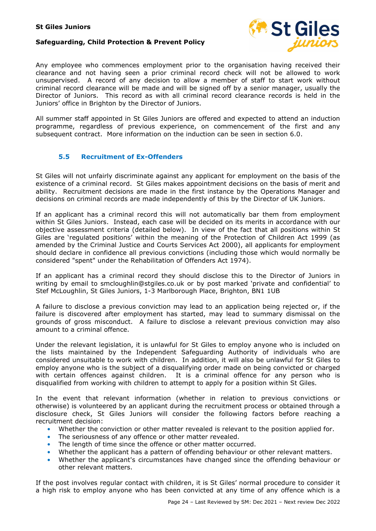

Any employee who commences employment prior to the organisation having received their clearance and not having seen a prior criminal record check will not be allowed to work unsupervised. A record of any decision to allow a member of staff to start work without criminal record clearance will be made and will be signed off by a senior manager, usually the Director of Juniors. This record as with all criminal record clearance records is held in the Juniors' office in Brighton by the Director of Juniors.

All summer staff appointed in St Giles Juniors are offered and expected to attend an induction programme, regardless of previous experience, on commencement of the first and any subsequent contract. More information on the induction can be seen in section 6.0.

#### 5.5 Recruitment of Ex-Offenders

St Giles will not unfairly discriminate against any applicant for employment on the basis of the existence of a criminal record. St Giles makes appointment decisions on the basis of merit and ability. Recruitment decisions are made in the first instance by the Operations Manager and decisions on criminal records are made independently of this by the Director of UK Juniors.

If an applicant has a criminal record this will not automatically bar them from employment within St Giles Juniors. Instead, each case will be decided on its merits in accordance with our objective assessment criteria (detailed below). In view of the fact that all positions within St Giles are 'regulated positions' within the meaning of the Protection of Children Act 1999 (as amended by the Criminal Justice and Courts Services Act 2000), all applicants for employment should declare in confidence all previous convictions (including those which would normally be considered "spent" under the Rehabilitation of Offenders Act 1974).

If an applicant has a criminal record they should disclose this to the Director of Juniors in writing by email to smcloughlin@stgiles.co.uk or by post marked 'private and confidential' to Stef McLoughlin, St Giles Juniors, 1-3 Marlborough Place, Brighton, BN1 1UB

A failure to disclose a previous conviction may lead to an application being rejected or, if the failure is discovered after employment has started, may lead to summary dismissal on the grounds of gross misconduct. A failure to disclose a relevant previous conviction may also amount to a criminal offence.

Under the relevant legislation, it is unlawful for St Giles to employ anyone who is included on the lists maintained by the Independent Safeguarding Authority of individuals who are considered unsuitable to work with children. In addition, it will also be unlawful for St Giles to employ anyone who is the subject of a disqualifying order made on being convicted or charged with certain offences against children. It is a criminal offence for any person who is disqualified from working with children to attempt to apply for a position within St Giles.

In the event that relevant information (whether in relation to previous convictions or otherwise) is volunteered by an applicant during the recruitment process or obtained through a disclosure check, St Giles Juniors will consider the following factors before reaching a recruitment decision:

- Whether the conviction or other matter revealed is relevant to the position applied for.
- The seriousness of any offence or other matter revealed.
- The length of time since the offence or other matter occurred.
- Whether the applicant has a pattern of offending behaviour or other relevant matters.
- Whether the applicant's circumstances have changed since the offending behaviour or other relevant matters.

If the post involves regular contact with children, it is St Giles' normal procedure to consider it a high risk to employ anyone who has been convicted at any time of any offence which is a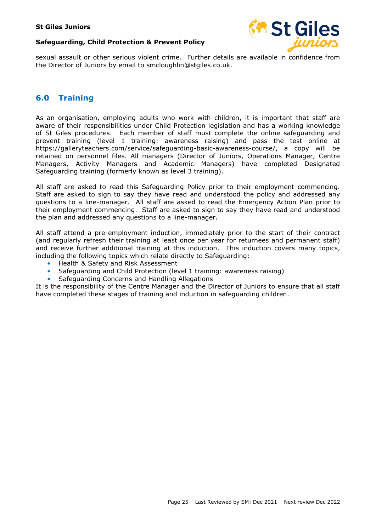#### Safeguarding, Child Protection & Prevent Policy



sexual assault or other serious violent crime. Further details are available in confidence from the Director of Juniors by email to smcloughlin@stgiles.co.uk.

# 6.0 Training

As an organisation, employing adults who work with children, it is important that staff are aware of their responsibilities under Child Protection legislation and has a working knowledge of St Giles procedures. Each member of staff must complete the online safeguarding and prevent training (level 1 training: awareness raising) and pass the test online at https://galleryteachers.com/service/safeguarding-basic-awareness-course/, a copy will be retained on personnel files. All managers (Director of Juniors, Operations Manager, Centre Managers, Activity Managers and Academic Managers) have completed Designated Safeguarding training (formerly known as level 3 training).

All staff are asked to read this Safeguarding Policy prior to their employment commencing. Staff are asked to sign to say they have read and understood the policy and addressed any questions to a line-manager. All staff are asked to read the Emergency Action Plan prior to their employment commencing. Staff are asked to sign to say they have read and understood the plan and addressed any questions to a line-manager.

All staff attend a pre-employment induction, immediately prior to the start of their contract (and regularly refresh their training at least once per year for returnees and permanent staff) and receive further additional training at this induction. This induction covers many topics, including the following topics which relate directly to Safeguarding:

- Health & Safety and Risk Assessment
- Safeguarding and Child Protection (level 1 training: awareness raising)
- Safeguarding Concerns and Handling Allegations

It is the responsibility of the Centre Manager and the Director of Juniors to ensure that all staff have completed these stages of training and induction in safeguarding children.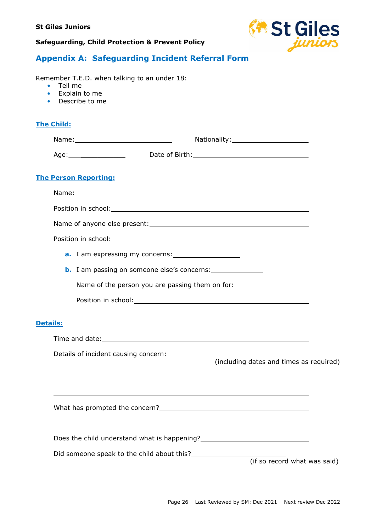

# Appendix A: Safeguarding Incident Referral Form

Remember T.E.D. when talking to an under 18:

- Tell me
- Explain to me
- Describe to me

# The Child:

|                 | <b>The Person Reporting:</b>                                                     |  |
|-----------------|----------------------------------------------------------------------------------|--|
|                 |                                                                                  |  |
|                 |                                                                                  |  |
|                 |                                                                                  |  |
|                 |                                                                                  |  |
|                 |                                                                                  |  |
|                 | <b>b.</b> I am passing on someone else's concerns:                               |  |
|                 | Name of the person you are passing them on for: ________________________________ |  |
|                 |                                                                                  |  |
| <b>Details:</b> |                                                                                  |  |
|                 |                                                                                  |  |
|                 |                                                                                  |  |
|                 | (including dates and times as required)                                          |  |
|                 |                                                                                  |  |
|                 |                                                                                  |  |
|                 |                                                                                  |  |
|                 | Did someone speak to the child about this?<br>(if so record what was said)       |  |